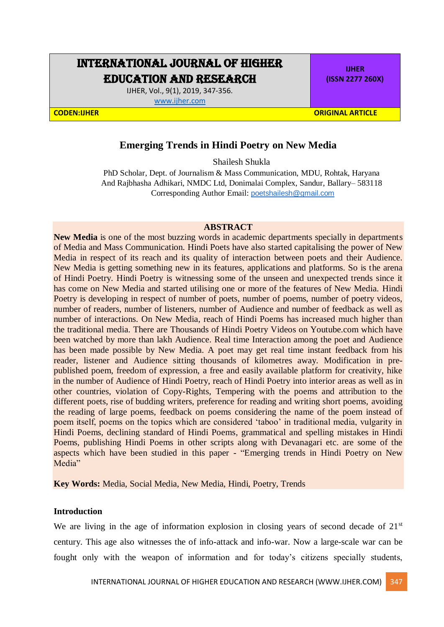# INTERNATIONAL JOURNAL OF HIGHER EDUCATION AND RESEARCH

IJHER, Vol., 9(1), 2019, 347-356. [www.ijher.com](http://www.ijher.com/)

**IJHER (ISSN 2277 260X)**

**CODEN:IJHER ORIGINAL ARTICLE** 

## **Emerging Trends in Hindi Poetry on New Media**

Shailesh Shukla

PhD Scholar, Dept. of Journalism & Mass Communication, MDU, Rohtak, Haryana And Rajbhasha Adhikari, NMDC Ltd, Donimalai Complex, Sandur, Ballary– 583118 Corresponding Author Email: [poetshailesh@gmail.com](mailto:poetshailesh@gmail.com)

## **ABSTRACT**

**New Media** is one of the most buzzing words in academic departments specially in departments of Media and Mass Communication. Hindi Poets have also started capitalising the power of New Media in respect of its reach and its quality of interaction between poets and their Audience. New Media is getting something new in its features, applications and platforms. So is the arena of Hindi Poetry. Hindi Poetry is witnessing some of the unseen and unexpected trends since it has come on New Media and started utilising one or more of the features of New Media. Hindi Poetry is developing in respect of number of poets, number of poems, number of poetry videos, number of readers, number of listeners, number of Audience and number of feedback as well as number of interactions. On New Media, reach of Hindi Poems has increased much higher than the traditional media. There are Thousands of Hindi Poetry Videos on Youtube.com which have been watched by more than lakh Audience. Real time Interaction among the poet and Audience has been made possible by New Media. A poet may get real time instant feedback from his reader, listener and Audience sitting thousands of kilometres away. Modification in prepublished poem, freedom of expression, a free and easily available platform for creativity, hike in the number of Audience of Hindi Poetry, reach of Hindi Poetry into interior areas as well as in other countries, violation of Copy-Rights, Tempering with the poems and attribution to the different poets, rise of budding writers, preference for reading and writing short poems, avoiding the reading of large poems, feedback on poems considering the name of the poem instead of poem itself, poems on the topics which are considered 'taboo' in traditional media, vulgarity in Hindi Poems, declining standard of Hindi Poems, grammatical and spelling mistakes in Hindi Poems, publishing Hindi Poems in other scripts along with Devanagari etc. are some of the aspects which have been studied in this paper - "Emerging trends in Hindi Poetry on New Media"

**Key Words:** Media, Social Media, New Media, Hindi, Poetry, Trends

## **Introduction**

We are living in the age of information explosion in closing years of second decade of  $21<sup>st</sup>$ century. This age also witnesses the of info-attack and info-war. Now a large-scale war can be fought only with the weapon of information and for today's citizens specially students,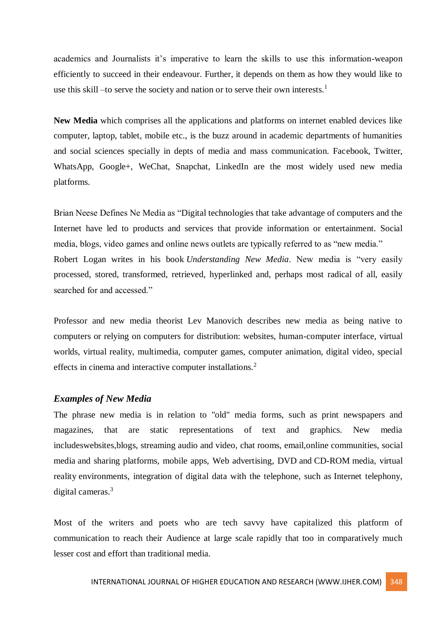academics and Journalists it's imperative to learn the skills to use this information-weapon efficiently to succeed in their endeavour. Further, it depends on them as how they would like to use this skill –to serve the society and nation or to serve their own interests.<sup>1</sup>

**New Media** which comprises all the applications and platforms on internet enabled devices like computer, laptop, tablet, mobile etc., is the buzz around in academic departments of humanities and social sciences specially in depts of media and mass communication. Facebook, Twitter, WhatsApp, Google+, WeChat, Snapchat, LinkedIn are the most widely used new media platforms.

Brian Neese Defines Ne Media as "Digital technologies that take advantage of computers and the Internet have led to products and services that provide information or entertainment. Social media, blogs, video games and online news outlets are typically referred to as "new media." Robert Logan writes in his book *Understanding New Media*. New media is "very easily processed, stored, transformed, retrieved, hyperlinked and, perhaps most radical of all, easily searched for and accessed."

Professor and new media theorist Lev Manovich describes new media as being native to computers or relying on computers for distribution: websites, human-computer interface, virtual worlds, virtual reality, multimedia, computer games, computer animation, digital video, special effects in cinema and interactive computer installations.<sup>2</sup>

## *Examples of New Media*

The phrase new media is in relation to "old" media forms, such as print newspapers and magazines, that are static representations of text and graphics. New media includeswebsites,blogs, streaming audio and video, chat rooms, email,online communities, social media and sharing platforms, mobile apps, Web advertising, DVD and CD-ROM media, virtual reality environments, integration of digital data with the telephone, such as Internet telephony, digital cameras.<sup>3</sup>

Most of the writers and poets who are tech savvy have capitalized this platform of communication to reach their Audience at large scale rapidly that too in comparatively much lesser cost and effort than traditional media.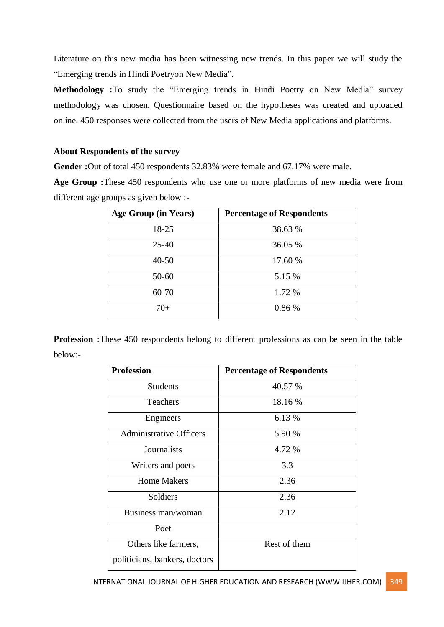Literature on this new media has been witnessing new trends. In this paper we will study the "Emerging trends in Hindi Poetryon New Media".

**Methodology :**To study the "Emerging trends in Hindi Poetry on New Media" survey methodology was chosen. Questionnaire based on the hypotheses was created and uploaded online. 450 responses were collected from the users of New Media applications and platforms.

## **About Respondents of the survey**

**Gender :**Out of total 450 respondents 32.83% were female and 67.17% were male.

**Age Group :**These 450 respondents who use one or more platforms of new media were from different age groups as given below :-

| Age Group (in Years) | <b>Percentage of Respondents</b> |
|----------------------|----------------------------------|
| 18-25                | 38.63 %                          |
| $25-40$              | 36.05 %                          |
| $40 - 50$            | 17.60 %                          |
| $50 - 60$            | 5.15 %                           |
| $60 - 70$            | 1.72 %                           |
| $70+$                | 0.86 %                           |

**Profession :**These 450 respondents belong to different professions as can be seen in the table below:-

| <b>Profession</b>              | <b>Percentage of Respondents</b> |
|--------------------------------|----------------------------------|
| <b>Students</b>                | 40.57 %                          |
| Teachers                       | 18.16 %                          |
| Engineers                      | 6.13 %                           |
| <b>Administrative Officers</b> | 5.90 %                           |
| Journalists                    | 4.72 %                           |
| Writers and poets              | 3.3                              |
| <b>Home Makers</b>             | 2.36                             |
| Soldiers                       | 2.36                             |
| Business man/woman             | 2.12                             |
| Poet                           |                                  |
| Others like farmers,           | Rest of them                     |
| politicians, bankers, doctors  |                                  |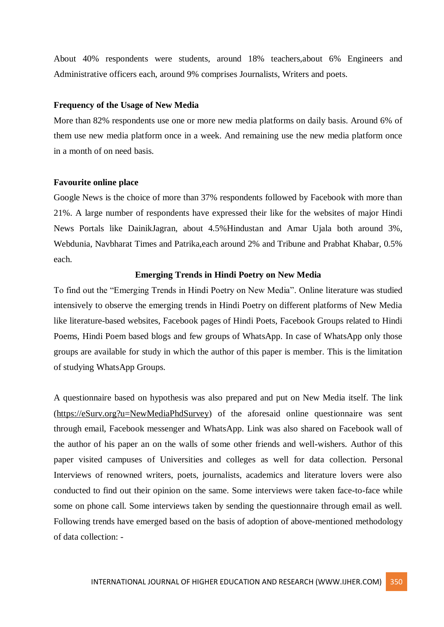About 40% respondents were students, around 18% teachers,about 6% Engineers and Administrative officers each, around 9% comprises Journalists, Writers and poets.

#### **Frequency of the Usage of New Media**

More than 82% respondents use one or more new media platforms on daily basis. Around 6% of them use new media platform once in a week. And remaining use the new media platform once in a month of on need basis.

#### **Favourite online place**

Google News is the choice of more than 37% respondents followed by Facebook with more than 21%. A large number of respondents have expressed their like for the websites of major Hindi News Portals like DainikJagran, about 4.5%Hindustan and Amar Ujala both around 3%, Webdunia, Navbharat Times and Patrika,each around 2% and Tribune and Prabhat Khabar, 0.5% each.

#### **Emerging Trends in Hindi Poetry on New Media**

To find out the "Emerging Trends in Hindi Poetry on New Media". Online literature was studied intensively to observe the emerging trends in Hindi Poetry on different platforms of New Media like literature-based websites, Facebook pages of Hindi Poets, Facebook Groups related to Hindi Poems, Hindi Poem based blogs and few groups of WhatsApp. In case of WhatsApp only those groups are available for study in which the author of this paper is member. This is the limitation of studying WhatsApp Groups.

A questionnaire based on hypothesis was also prepared and put on New Media itself. The link [\(https://eSurv.org?u=NewMediaPhdSurvey\)](https://esurv.org/?u=NewMediaPhdSurvey) of the aforesaid online questionnaire was sent through email, Facebook messenger and WhatsApp. Link was also shared on Facebook wall of the author of his paper an on the walls of some other friends and well-wishers. Author of this paper visited campuses of Universities and colleges as well for data collection. Personal Interviews of renowned writers, poets, journalists, academics and literature lovers were also conducted to find out their opinion on the same. Some interviews were taken face-to-face while some on phone call. Some interviews taken by sending the questionnaire through email as well. Following trends have emerged based on the basis of adoption of above-mentioned methodology of data collection: -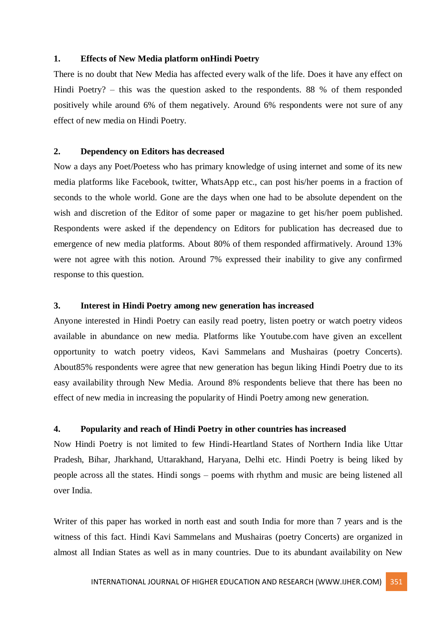#### **1. Effects of New Media platform onHindi Poetry**

There is no doubt that New Media has affected every walk of the life. Does it have any effect on Hindi Poetry? – this was the question asked to the respondents. 88 % of them responded positively while around 6% of them negatively. Around 6% respondents were not sure of any effect of new media on Hindi Poetry.

## **2. Dependency on Editors has decreased**

Now a days any Poet/Poetess who has primary knowledge of using internet and some of its new media platforms like Facebook, twitter, WhatsApp etc., can post his/her poems in a fraction of seconds to the whole world. Gone are the days when one had to be absolute dependent on the wish and discretion of the Editor of some paper or magazine to get his/her poem published. Respondents were asked if the dependency on Editors for publication has decreased due to emergence of new media platforms. About 80% of them responded affirmatively. Around 13% were not agree with this notion. Around 7% expressed their inability to give any confirmed response to this question.

## **3. Interest in Hindi Poetry among new generation has increased**

Anyone interested in Hindi Poetry can easily read poetry, listen poetry or watch poetry videos available in abundance on new media. Platforms like Youtube.com have given an excellent opportunity to watch poetry videos, Kavi Sammelans and Mushairas (poetry Concerts). About85% respondents were agree that new generation has begun liking Hindi Poetry due to its easy availability through New Media. Around 8% respondents believe that there has been no effect of new media in increasing the popularity of Hindi Poetry among new generation.

## **4. Popularity and reach of Hindi Poetry in other countries has increased**

Now Hindi Poetry is not limited to few Hindi-Heartland States of Northern India like Uttar Pradesh, Bihar, Jharkhand, Uttarakhand, Haryana, Delhi etc. Hindi Poetry is being liked by people across all the states. Hindi songs – poems with rhythm and music are being listened all over India.

Writer of this paper has worked in north east and south India for more than 7 years and is the witness of this fact. Hindi Kavi Sammelans and Mushairas (poetry Concerts) are organized in almost all Indian States as well as in many countries. Due to its abundant availability on New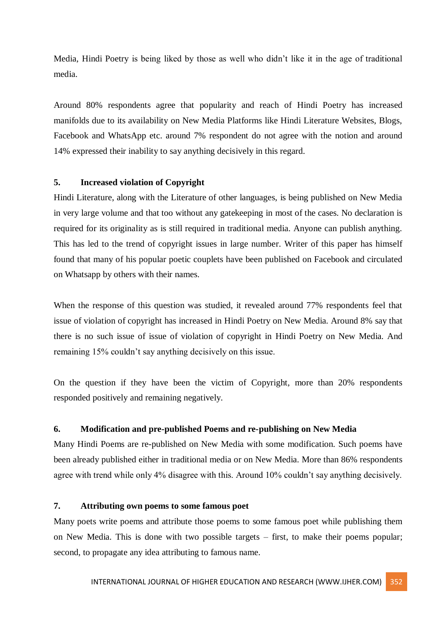Media, Hindi Poetry is being liked by those as well who didn't like it in the age of traditional media.

Around 80% respondents agree that popularity and reach of Hindi Poetry has increased manifolds due to its availability on New Media Platforms like Hindi Literature Websites, Blogs, Facebook and WhatsApp etc. around 7% respondent do not agree with the notion and around 14% expressed their inability to say anything decisively in this regard.

## **5. Increased violation of Copyright**

Hindi Literature, along with the Literature of other languages, is being published on New Media in very large volume and that too without any gatekeeping in most of the cases. No declaration is required for its originality as is still required in traditional media. Anyone can publish anything. This has led to the trend of copyright issues in large number. Writer of this paper has himself found that many of his popular poetic couplets have been published on Facebook and circulated on Whatsapp by others with their names.

When the response of this question was studied, it revealed around 77% respondents feel that issue of violation of copyright has increased in Hindi Poetry on New Media. Around 8% say that there is no such issue of issue of violation of copyright in Hindi Poetry on New Media. And remaining 15% couldn't say anything decisively on this issue.

On the question if they have been the victim of Copyright, more than 20% respondents responded positively and remaining negatively.

## **6. Modification and pre-published Poems and re-publishing on New Media**

Many Hindi Poems are re-published on New Media with some modification. Such poems have been already published either in traditional media or on New Media. More than 86% respondents agree with trend while only 4% disagree with this. Around 10% couldn't say anything decisively.

#### **7. Attributing own poems to some famous poet**

Many poets write poems and attribute those poems to some famous poet while publishing them on New Media. This is done with two possible targets – first, to make their poems popular; second, to propagate any idea attributing to famous name.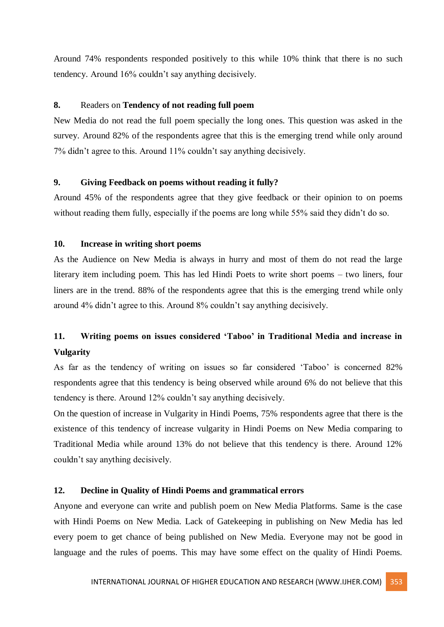Around 74% respondents responded positively to this while 10% think that there is no such tendency. Around 16% couldn't say anything decisively.

## **8.** Readers on **Tendency of not reading full poem**

New Media do not read the full poem specially the long ones. This question was asked in the survey. Around 82% of the respondents agree that this is the emerging trend while only around 7% didn't agree to this. Around 11% couldn't say anything decisively.

#### **9. Giving Feedback on poems without reading it fully?**

Around 45% of the respondents agree that they give feedback or their opinion to on poems without reading them fully, especially if the poems are long while 55% said they didn't do so.

## **10. Increase in writing short poems**

As the Audience on New Media is always in hurry and most of them do not read the large literary item including poem. This has led Hindi Poets to write short poems – two liners, four liners are in the trend. 88% of the respondents agree that this is the emerging trend while only around 4% didn't agree to this. Around 8% couldn't say anything decisively.

## **11. Writing poems on issues considered 'Taboo' in Traditional Media and increase in Vulgarity**

As far as the tendency of writing on issues so far considered 'Taboo' is concerned 82% respondents agree that this tendency is being observed while around 6% do not believe that this tendency is there. Around 12% couldn't say anything decisively.

On the question of increase in Vulgarity in Hindi Poems, 75% respondents agree that there is the existence of this tendency of increase vulgarity in Hindi Poems on New Media comparing to Traditional Media while around 13% do not believe that this tendency is there. Around 12% couldn't say anything decisively.

#### **12. Decline in Quality of Hindi Poems and grammatical errors**

Anyone and everyone can write and publish poem on New Media Platforms. Same is the case with Hindi Poems on New Media. Lack of Gatekeeping in publishing on New Media has led every poem to get chance of being published on New Media. Everyone may not be good in language and the rules of poems. This may have some effect on the quality of Hindi Poems.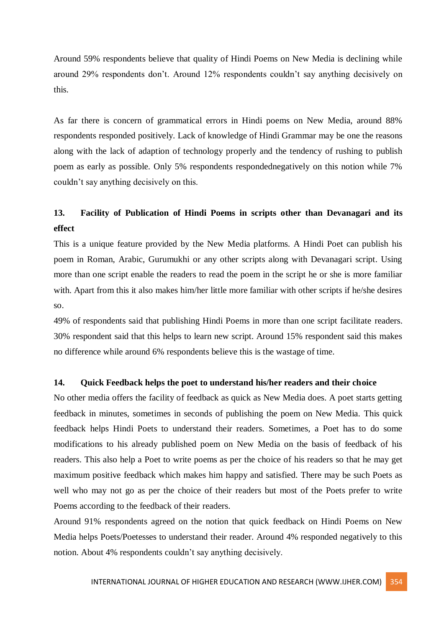Around 59% respondents believe that quality of Hindi Poems on New Media is declining while around 29% respondents don't. Around 12% respondents couldn't say anything decisively on this.

As far there is concern of grammatical errors in Hindi poems on New Media, around 88% respondents responded positively. Lack of knowledge of Hindi Grammar may be one the reasons along with the lack of adaption of technology properly and the tendency of rushing to publish poem as early as possible. Only 5% respondents respondednegatively on this notion while 7% couldn't say anything decisively on this.

## **13. Facility of Publication of Hindi Poems in scripts other than Devanagari and its effect**

This is a unique feature provided by the New Media platforms. A Hindi Poet can publish his poem in Roman, Arabic, Gurumukhi or any other scripts along with Devanagari script. Using more than one script enable the readers to read the poem in the script he or she is more familiar with. Apart from this it also makes him/her little more familiar with other scripts if he/she desires so.

49% of respondents said that publishing Hindi Poems in more than one script facilitate readers. 30% respondent said that this helps to learn new script. Around 15% respondent said this makes no difference while around 6% respondents believe this is the wastage of time.

#### **14. Quick Feedback helps the poet to understand his/her readers and their choice**

No other media offers the facility of feedback as quick as New Media does. A poet starts getting feedback in minutes, sometimes in seconds of publishing the poem on New Media. This quick feedback helps Hindi Poets to understand their readers. Sometimes, a Poet has to do some modifications to his already published poem on New Media on the basis of feedback of his readers. This also help a Poet to write poems as per the choice of his readers so that he may get maximum positive feedback which makes him happy and satisfied. There may be such Poets as well who may not go as per the choice of their readers but most of the Poets prefer to write Poems according to the feedback of their readers.

Around 91% respondents agreed on the notion that quick feedback on Hindi Poems on New Media helps Poets/Poetesses to understand their reader. Around 4% responded negatively to this notion. About 4% respondents couldn't say anything decisively.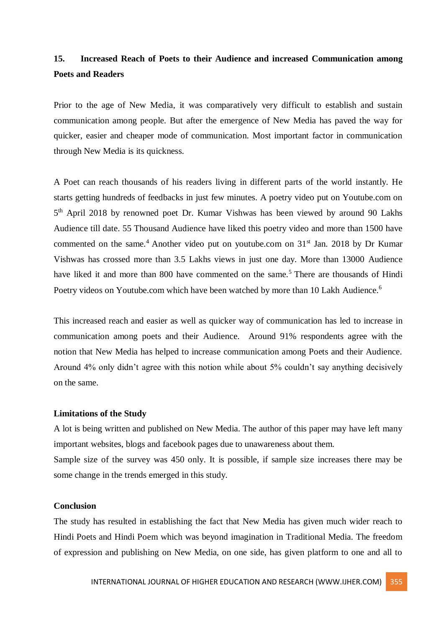## **15. Increased Reach of Poets to their Audience and increased Communication among Poets and Readers**

Prior to the age of New Media, it was comparatively very difficult to establish and sustain communication among people. But after the emergence of New Media has paved the way for quicker, easier and cheaper mode of communication. Most important factor in communication through New Media is its quickness.

A Poet can reach thousands of his readers living in different parts of the world instantly. He starts getting hundreds of feedbacks in just few minutes. A poetry video put on Youtube.com on 5<sup>th</sup> April 2018 by renowned poet Dr. Kumar Vishwas has been viewed by around 90 Lakhs Audience till date. 55 Thousand Audience have liked this poetry video and more than 1500 have commented on the same.<sup>4</sup> Another video put on youtube.com on  $31<sup>st</sup>$  Jan. 2018 by Dr Kumar Vishwas has crossed more than 3.5 Lakhs views in just one day. More than 13000 Audience have liked it and more than 800 have commented on the same.<sup>5</sup> There are thousands of Hindi Poetry videos on Youtube.com which have been watched by more than 10 Lakh Audience.<sup>6</sup>

This increased reach and easier as well as quicker way of communication has led to increase in communication among poets and their Audience. Around 91% respondents agree with the notion that New Media has helped to increase communication among Poets and their Audience. Around 4% only didn't agree with this notion while about 5% couldn't say anything decisively on the same.

#### **Limitations of the Study**

A lot is being written and published on New Media. The author of this paper may have left many important websites, blogs and facebook pages due to unawareness about them. Sample size of the survey was 450 only. It is possible, if sample size increases there may be some change in the trends emerged in this study.

#### **Conclusion**

The study has resulted in establishing the fact that New Media has given much wider reach to Hindi Poets and Hindi Poem which was beyond imagination in Traditional Media. The freedom of expression and publishing on New Media, on one side, has given platform to one and all to